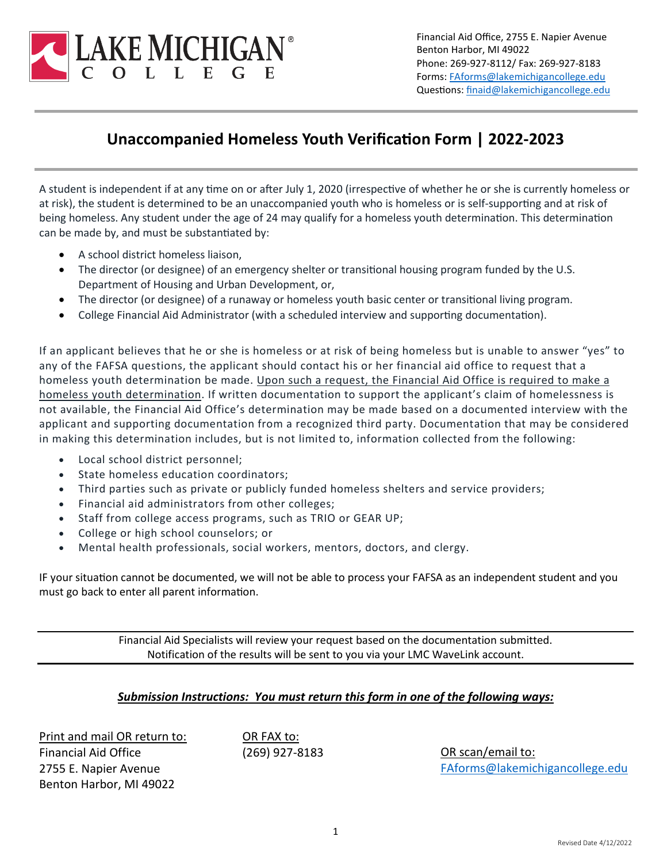

Financial Aid Office, 2755 E. Napier Avenue Benton Harbor, MI 49022 Phone: 269-927-8112/ Fax: 269-927-8183 Forms[: FAforms@lakemichigancollege.edu](mailto:FAforms@lakemichigancollege.edu) Questions: [finaid@lakemichigancollege.edu](mailto:finaid@lakemichigancollege.edu)

# **Unaccompanied Homeless Youth Verification Form | 2022-2023**

A student is independent if at any time on or after July 1, 2020 (irrespective of whether he or she is currently homeless or at risk), the student is determined to be an unaccompanied youth who is homeless or is self-supporting and at risk of being homeless. Any student under the age of 24 may qualify for a homeless youth determination. This determination can be made by, and must be substantiated by:

- A school district homeless liaison,
- The director (or designee) of an emergency shelter or transitional housing program funded by the U.S. Department of Housing and Urban Development, or,
- The director (or designee) of a runaway or homeless youth basic center or transitional living program.
- College Financial Aid Administrator (with a scheduled interview and supporting documentation).

If an applicant believes that he or she is homeless or at risk of being homeless but is unable to answer "yes" to any of the FAFSA questions, the applicant should contact his or her financial aid office to request that a homeless youth determination be made. Upon such a request, the Financial Aid Office is required to make a homeless youth determination. If written documentation to support the applicant's claim of homelessness is not available, the Financial Aid Office's determination may be made based on a documented interview with the applicant and supporting documentation from a recognized third party. Documentation that may be considered in making this determination includes, but is not limited to, information collected from the following:

- Local school district personnel;
- State homeless education coordinators;
- Third parties such as private or publicly funded homeless shelters and service providers;
- Financial aid administrators from other colleges;
- Staff from college access programs, such as TRIO or GEAR UP;
- College or high school counselors; or
- Mental health professionals, social workers, mentors, doctors, and clergy.

IF your situation cannot be documented, we will not be able to process your FAFSA as an independent student and you must go back to enter all parent information.

> Financial Aid Specialists will review your request based on the documentation submitted. Notification of the results will be sent to you via your LMC WaveLink account.

## *Submission Instructions: You must return this form in one of the following ways:*

Print and mail OR return to: Financial Aid Office 2755 E. Napier Avenue Benton Harbor, MI 49022

OR FAX to:

(269) 927-8183 OR scan/email to: [FAforms@lakemichigancollege.edu](mailto:FAforms@lakemichigancollege.edu)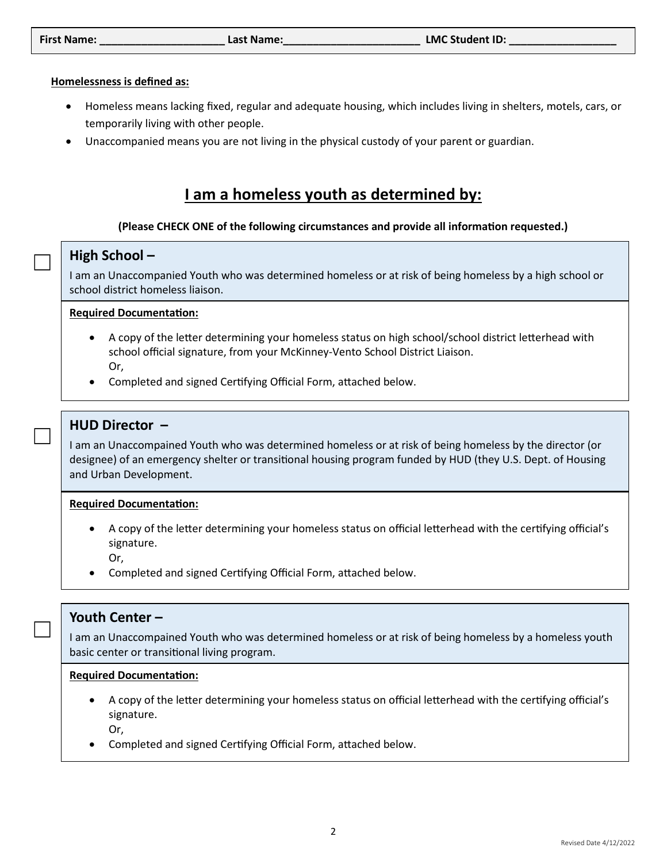#### **Homelessness is defined as:**

- Homeless means lacking fixed, regular and adequate housing, which includes living in shelters, motels, cars, or temporarily living with other people.
- Unaccompanied means you are not living in the physical custody of your parent or guardian.

# **I am a homeless youth as determined by:**

### (Please CHECK ONE of the following circumstances and provide all information requested.)

## **High School –**

 $\Box$ 

 $\Box$ 

 $\Box$ 

I am an Unaccompanied Youth who was determined homeless or at risk of being homeless by a high school or school district homeless liaison.

#### **Required Documentation:**

- A copy of the letter determining your homeless status on high school/school district letterhead with school official signature, from your McKinney-Vento School District Liaison. Or,
- Completed and signed Certifying Official Form, attached below.

## **HUD Director –**

I am an Unaccompained Youth who was determined homeless or at risk of being homeless by the director (or designee) of an emergency shelter or transitional housing program funded by HUD (they U.S. Dept. of Housing and Urban Development.

#### **Required Documentation:**

- A copy of the letter determining your homeless status on official letterhead with the certifying official's signature.
	- Or,
- Completed and signed Certifying Official Form, attached below.

## **Youth Center –**

I am an Unaccompained Youth who was determined homeless or at risk of being homeless by a homeless youth basic center or transitional living program.

#### **Required Documentation:**

- A copy of the letter determining your homeless status on official letterhead with the certifying official's signature.
	- Or,
- Completed and signed Cer�fying Official Form, atached below.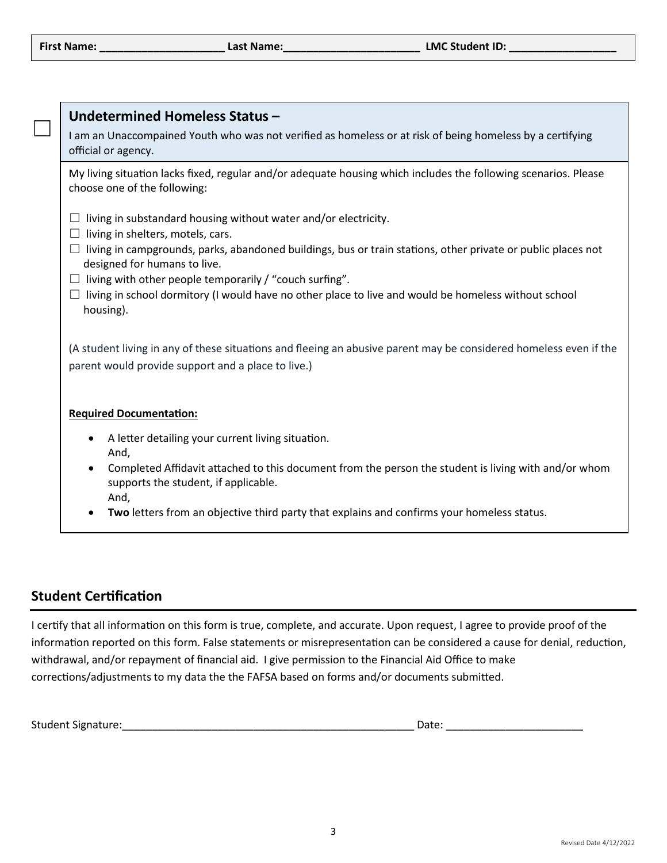$\Box$ 

| Undetermined Homeless Status-                                                                                                                             |  |  |  |  |  |  |  |
|-----------------------------------------------------------------------------------------------------------------------------------------------------------|--|--|--|--|--|--|--|
| I am an Unaccompained Youth who was not verified as homeless or at risk of being homeless by a certifying<br>official or agency.                          |  |  |  |  |  |  |  |
| My living situation lacks fixed, regular and/or adequate housing which includes the following scenarios. Please<br>choose one of the following:           |  |  |  |  |  |  |  |
| living in substandard housing without water and/or electricity.<br>living in shelters, motels, cars.<br>ப                                                 |  |  |  |  |  |  |  |
| living in campgrounds, parks, abandoned buildings, bus or train stations, other private or public places not<br>$\Box$<br>designed for humans to live.    |  |  |  |  |  |  |  |
| living with other people temporarily / "couch surfing".<br>$\Box$                                                                                         |  |  |  |  |  |  |  |
| living in school dormitory (I would have no other place to live and would be homeless without school<br>ப<br>housing).                                    |  |  |  |  |  |  |  |
| (A student living in any of these situations and fleeing an abusive parent may be considered homeless even if the                                         |  |  |  |  |  |  |  |
| parent would provide support and a place to live.)                                                                                                        |  |  |  |  |  |  |  |
| <b>Required Documentation:</b>                                                                                                                            |  |  |  |  |  |  |  |
| A letter detailing your current living situation.<br>$\bullet$                                                                                            |  |  |  |  |  |  |  |
| And,                                                                                                                                                      |  |  |  |  |  |  |  |
| Completed Affidavit attached to this document from the person the student is living with and/or whom<br>$\bullet$<br>supports the student, if applicable. |  |  |  |  |  |  |  |

- And,
- **Two** letters from an objective third party that explains and confirms your homeless status.

## **Student Certification**

I certify that all information on this form is true, complete, and accurate. Upon request, I agree to provide proof of the information reported on this form. False statements or misrepresentation can be considered a cause for denial, reduction, withdrawal, and/or repayment of financial aid. I give permission to the Financial Aid Office to make corrections/adjustments to my data the the FAFSA based on forms and/or documents submitted.

|  | <b>Student Signature:</b> | vale. |
|--|---------------------------|-------|
|--|---------------------------|-------|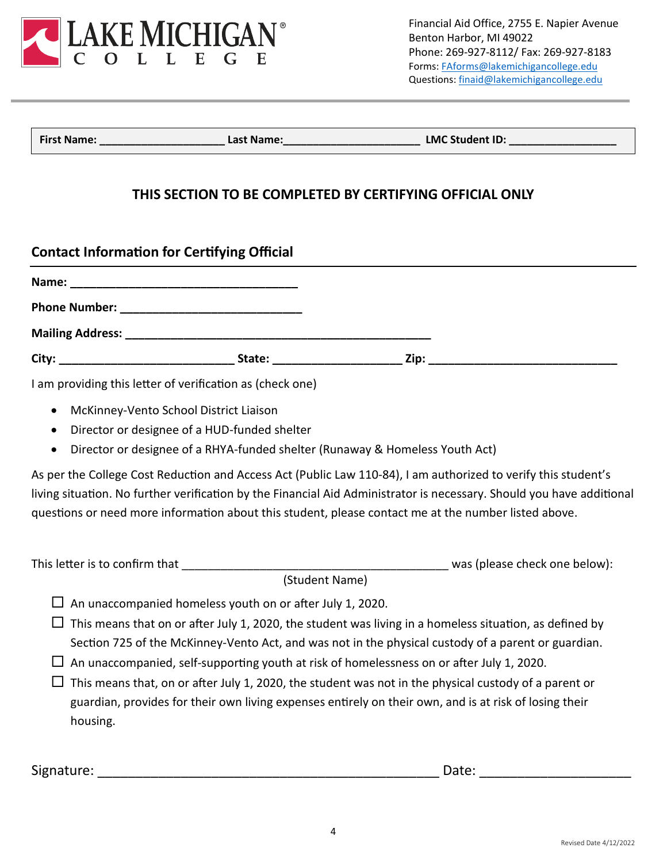

Financial Aid Office, 2755 E. Napier Avenue Benton Harbor, MI 49022 Phone: 269-927-8112/ Fax: 269-927-8183 Forms[: FAforms@lakemichigancollege.edu](mailto:FAforms@lakemichigancollege.edu) Questions: [finaid@lakemichigancollege.edu](mailto:finaid@lakemichigancollege.edu)

**First Name: Example 2 Last Name: Last Name: LMC Student ID: LMC** 

## **THIS SECTION TO BE COMPLETED BY CERTIFYING OFFICIAL ONLY**

# **Contact Information for Certifying Official**

I am providing this letter of verification as (check one)

- McKinney-Vento School District Liaison
- Director or designee of a HUD-funded shelter
- Director or designee of a RHYA-funded shelter (Runaway & Homeless Youth Act)

As per the College Cost Reduction and Access Act (Public Law 110-84), I am authorized to verify this student's living situation. No further verification by the Financial Aid Administrator is necessary. Should you have additional questions or need more information about this student, please contact me at the number listed above.

| This letter is to confirm that |  | was (please check one below): |
|--------------------------------|--|-------------------------------|
|--------------------------------|--|-------------------------------|

(Student Name)

- $\Box$  An unaccompanied homeless youth on or after July 1, 2020.
- $\Box$  This means that on or after July 1, 2020, the student was living in a homeless situation, as defined by Section 725 of the McKinney-Vento Act, and was not in the physical custody of a parent or guardian.
- $\Box$  An unaccompanied, self-supporting youth at risk of homelessness on or after July 1, 2020.
- $\Box$  This means that, on or after July 1, 2020, the student was not in the physical custody of a parent or guardian, provides for their own living expenses entirely on their own, and is at risk of losing their housing.

Signature: \_\_\_\_\_\_\_\_\_\_\_\_\_\_\_\_\_\_\_\_\_\_\_\_\_\_\_\_\_\_\_\_\_\_\_\_\_\_\_\_\_\_\_\_\_ Date: \_\_\_\_\_\_\_\_\_\_\_\_\_\_\_\_\_\_\_\_